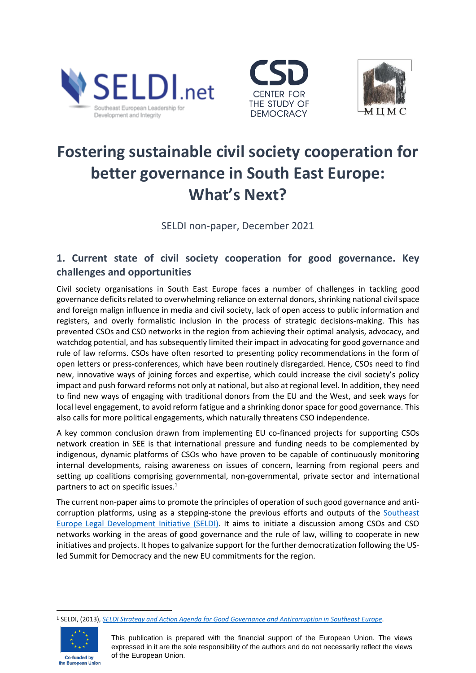





# **Fostering sustainable civil society cooperation for better governance in South East Europe: What's Next?**

SELDI non-paper, December 2021

## **1. Current state of civil society cooperation for good governance. Key challenges and opportunities**

Civil society organisations in South East Europe faces a number of challenges in tackling good governance deficits related to overwhelming reliance on external donors, shrinking national civil space and foreign malign influence in media and civil society, lack of open access to public information and registers, and overly formalistic inclusion in the process of strategic decisions-making. This has prevented CSOs and CSO networks in the region from achieving their optimal analysis, advocacy, and watchdog potential, and has subsequently limited their impact in advocating for good governance and rule of law reforms. CSOs have often resorted to presenting policy recommendations in the form of open letters or press-conferences, which have been routinely disregarded. Hence, CSOs need to find new, innovative ways of joining forces and expertise, which could increase the civil society's policy impact and push forward reforms not only at national, but also at regional level. In addition, they need to find new ways of engaging with traditional donors from the EU and the West, and seek ways for local level engagement, to avoid reform fatigue and a shrinking donor space for good governance. This also calls for more political engagements, which naturally threatens CSO independence.

A key common conclusion drawn from implementing EU co-financed projects for supporting CSOs network creation in SEE is that international pressure and funding needs to be complemented by indigenous, dynamic platforms of CSOs who have proven to be capable of continuously monitoring internal developments, raising awareness on issues of concern, learning from regional peers and setting up coalitions comprising governmental, non-governmental, private sector and international partners to act on specific issues.<sup>1</sup>

The current non-paper aims to promote the principles of operation of such good governance and anticorruption platforms, using as a stepping-stone the previous efforts and outputs of the [Southeast](https://seldi.net/)  [Europe Legal Development Initiative \(SELDI\).](https://seldi.net/) It aims to initiate a discussion among CSOs and CSO networks working in the areas of good governance and the rule of law, willing to cooperate in new initiatives and projects. It hopes to galvanize support for the further democratization following the USled Summit for Democracy and the new EU commitments for the region.

 $\overline{a}$ <sup>1</sup> SELDI, (2013), *[SELDI Strategy and Action Agenda for Good Governance and Anticorruption in Southeast](/Users/ruslanstefanov/Library/Containers/com.apple.mail/Data/Library/Mail%20Downloads/77BC67E7-3DF6-4AEB-992A-0DC1F00354CB/seldi.net/publications/publications/seldi-strategy-and-action-agenda-for-good-governance-and-anticorruption-in-southeast-europe) Europe*.



This publication is prepared with the financial support of the European Union. The views expressed in it are the sole responsibility of the authors and do not necessarily reflect the views of the European Union.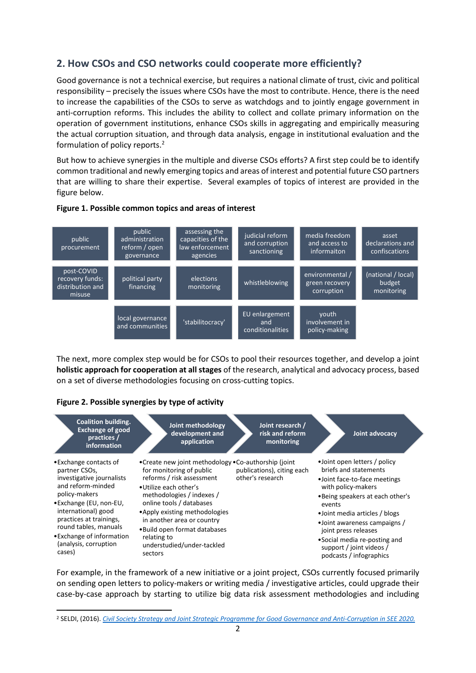## **2. How CSOs and CSO networks could cooperate more efficiently?**

Good governance is not a technical exercise, but requires a national climate of trust, civic and political responsibility – precisely the issues where CSOs have the most to contribute. Hence, there is the need to increase the capabilities of the CSOs to serve as watchdogs and to jointly engage government in anti-corruption reforms. This includes the ability to collect and collate primary information on the operation of government institutions, enhance CSOs skills in aggregating and empirically measuring the actual corruption situation, and through data analysis, engage in institutional evaluation and the formulation of policy reports.<sup>2</sup>

But how to achieve synergies in the multiple and diverse CSOs efforts? A first step could be to identify common traditional and newly emerging topics and areas of interest and potential future CSO partners that are willing to share their expertise.Several examples of topics of interest are provided in the figure below.





The next, more complex step would be for CSOs to pool their resources together, and develop a joint **holistic approach for cooperation at all stages** of the research, analytical and advocacy process, based on a set of diverse methodologies focusing on cross-cutting topics.

### **Figure 2. Possible synergies by type of activity**

1



For example, in the framework of a new initiative or a joint project, CSOs currently focused primarily on sending open letters to policy-makers or writing media / investigative articles, could upgrade their case-by-case approach by starting to utilize big data risk assessment methodologies and including

<sup>2</sup> SELDI, (2016). *[Civil Society Strategy and Joint Strategic Programme for Good Governance and Anti-Corruption in SEE 2020.](https://seldi.net/publications/reports/civil-society-strategy-and-joint-strategic-programme-for-good-governance-and-anti-corruption-in-see-2020/)*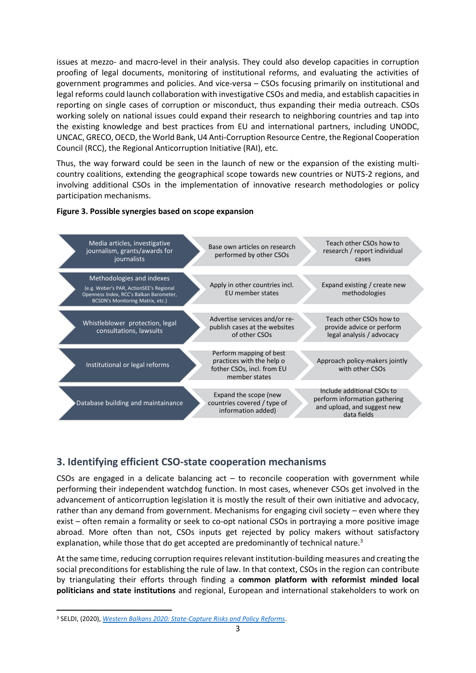issues at mezzo- and macro-level in their analysis. They could also develop capacities in corruption proofing of legal documents, monitoring of institutional reforms, and evaluating the activities of government programmes and policies. And vice-versa – CSOs focusing primarily on institutional and legal reforms could launch collaboration with investigative CSOs and media, and establish capacities in reporting on single cases of corruption or misconduct, thus expanding their media outreach. CSOs working solely on national issues could expand their research to neighboring countries and tap into the existing knowledge and best practices from EU and international partners, including UNODC, UNCAC, GRECO, OECD, the World Bank, U4 Anti-Corruption Resource Centre, the Regional Cooperation Council (RCC), the Regional Anticorruption Initiative (RAI), etc.

Thus, the way forward could be seen in the launch of new or the expansion of the existing multicountry coalitions, extending the geographical scope towards new countries or NUTS-2 regions, and involving additional CSOs in the implementation of innovative research methodologies or policy participation mechanisms.

#### **Figure 3. Possible synergies based on scope expansion**



## **3. Identifying efficient CSO-state cooperation mechanisms**

CSOs are engaged in a delicate balancing  $act - to$  reconcile cooperation with government while performing their independent watchdog function. In most cases, whenever CSOs get involved in the advancement of anticorruption legislation it is mostly the result of their own initiative and advocacy, rather than any demand from government. Mechanisms for engaging civil society – even where they exist – often remain a formality or seek to co-opt national CSOs in portraying a more positive image abroad. More often than not, CSOs inputs get rejected by policy makers without satisfactory explanation, while those that do get accepted are predominantly of technical nature. $3$ 

At the same time, reducing corruption requires relevant institution-building measures and creating the social preconditions for establishing the rule of law. In that context, CSOs in the region can contribute by triangulating their efforts through finding a **common platform with reformist minded local politicians and state institutions** and regional, European and international stakeholders to work on

1

<sup>3</sup> SELDI, (2020), *[Western Balkans 2020: State-Capture Risks and Policy Reforms](https://seldi.net/publications/western-balkans-2020-state-capture-risks-and-policy-reforms/)*.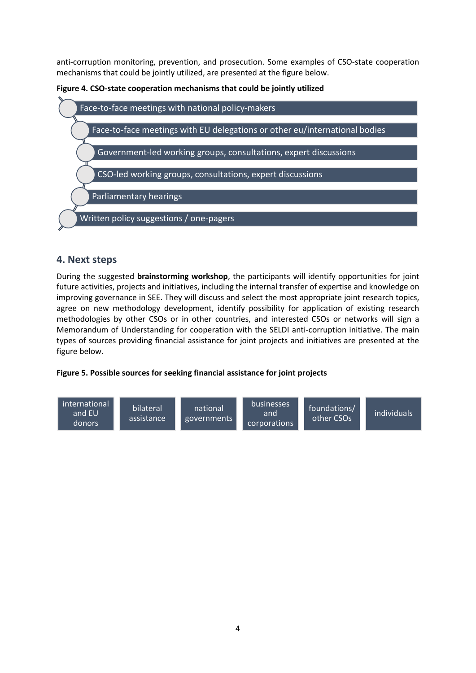anti-corruption monitoring, prevention, and prosecution. Some examples of CSO-state cooperation mechanisms that could be jointly utilized, are presented at the figure below.





### **4. Next steps**

During the suggested **brainstorming workshop**, the participants will identify opportunities for joint future activities, projects and initiatives, including the internal transfer of expertise and knowledge on improving governance in SEE. They will discuss and select the most appropriate joint research topics, agree on new methodology development, identify possibility for application of existing research methodologies by other CSOs or in other countries, and interested CSOs or networks will sign a Memorandum of Understanding for cooperation with the SELDI anti-corruption initiative. The main types of sources providing financial assistance for joint projects and initiatives are presented at the figure below.

#### **Figure 5. Possible sources for seeking financial assistance for joint projects**